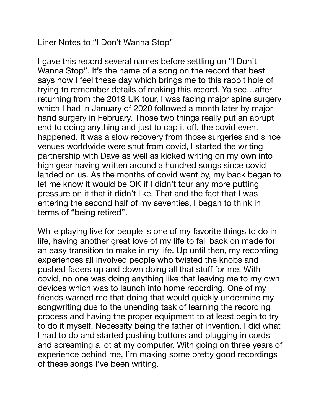Liner Notes to "I Don't Wanna Stop"

I gave this record several names before settling on "I Don't Wanna Stop". It's the name of a song on the record that best says how I feel these day which brings me to this rabbit hole of trying to remember details of making this record. Ya see…after returning from the 2019 UK tour, I was facing major spine surgery which I had in January of 2020 followed a month later by major hand surgery in February. Those two things really put an abrupt end to doing anything and just to cap it off, the covid event happened. It was a slow recovery from those surgeries and since venues worldwide were shut from covid, I started the writing partnership with Dave as well as kicked writing on my own into high gear having written around a hundred songs since covid landed on us. As the months of covid went by, my back began to let me know it would be OK if I didn't tour any more putting pressure on it that it didn't like. That and the fact that I was entering the second half of my seventies, I began to think in terms of "being retired".

While playing live for people is one of my favorite things to do in life, having another great love of my life to fall back on made for an easy transition to make in my life. Up until then, my recording experiences all involved people who twisted the knobs and pushed faders up and down doing all that stuff for me. With covid, no one was doing anything like that leaving me to my own devices which was to launch into home recording. One of my friends warned me that doing that would quickly undermine my songwriting due to the unending task of learning the recording process and having the proper equipment to at least begin to try to do it myself. Necessity being the father of invention, I did what I had to do and started pushing buttons and plugging in cords and screaming a lot at my computer. With going on three years of experience behind me, I'm making some pretty good recordings of these songs I've been writing.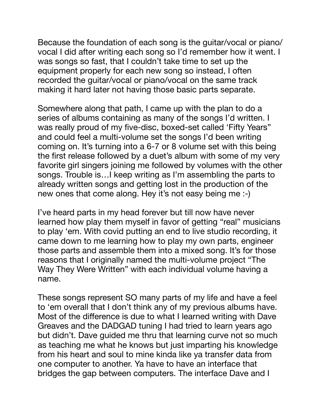Because the foundation of each song is the guitar/vocal or piano/ vocal I did after writing each song so I'd remember how it went. I was songs so fast, that I couldn't take time to set up the equipment properly for each new song so instead, I often recorded the guitar/vocal or piano/vocal on the same track making it hard later not having those basic parts separate.

Somewhere along that path, I came up with the plan to do a series of albums containing as many of the songs I'd written. I was really proud of my five-disc, boxed-set called 'Fifty Years" and could feel a multi-volume set the songs I'd been writing coming on. It's turning into a 6-7 or 8 volume set with this being the first release followed by a duet's album with some of my very favorite girl singers joining me followed by volumes with the other songs. Trouble is…I keep writing as I'm assembling the parts to already written songs and getting lost in the production of the new ones that come along. Hey it's not easy being me :-)

I've heard parts in my head forever but till now have never learned how play them myself in favor of getting "real" musicians to play 'em. With covid putting an end to live studio recording, it came down to me learning how to play my own parts, engineer those parts and assemble them into a mixed song. It's for those reasons that I originally named the multi-volume project "The Way They Were Written" with each individual volume having a name.

These songs represent SO many parts of my life and have a feel to 'em overall that I don't think any of my previous albums have. Most of the difference is due to what I learned writing with Dave Greaves and the DADGAD tuning I had tried to learn years ago but didn't. Dave guided me thru that learning curve not so much as teaching me what he knows but just imparting his knowledge from his heart and soul to mine kinda like ya transfer data from one computer to another. Ya have to have an interface that bridges the gap between computers. The interface Dave and I